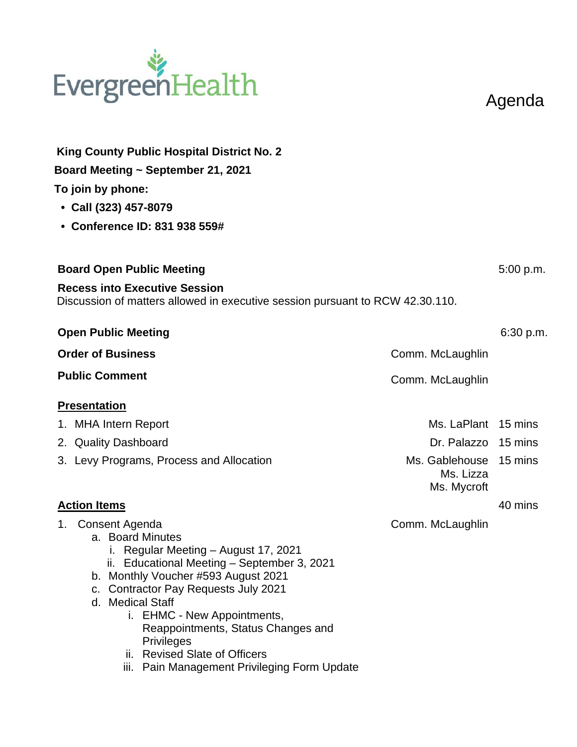## EvergreenHealth

Agenda

| King County Public Hospital District No. 2<br>Board Meeting ~ September 21, 2021<br>To join by phone:<br>• Call (323) 457-8079<br>• Conference ID: 831 938 559#                                                                                                                                                                                                                                                      |                                                    |           |
|----------------------------------------------------------------------------------------------------------------------------------------------------------------------------------------------------------------------------------------------------------------------------------------------------------------------------------------------------------------------------------------------------------------------|----------------------------------------------------|-----------|
| <b>Board Open Public Meeting</b>                                                                                                                                                                                                                                                                                                                                                                                     |                                                    | 5:00 p.m. |
| <b>Recess into Executive Session</b><br>Discussion of matters allowed in executive session pursuant to RCW 42.30.110.                                                                                                                                                                                                                                                                                                |                                                    |           |
| <b>Open Public Meeting</b>                                                                                                                                                                                                                                                                                                                                                                                           |                                                    | 6:30 p.m. |
| <b>Order of Business</b>                                                                                                                                                                                                                                                                                                                                                                                             | Comm. McLaughlin                                   |           |
| <b>Public Comment</b>                                                                                                                                                                                                                                                                                                                                                                                                | Comm. McLaughlin                                   |           |
| <b>Presentation</b>                                                                                                                                                                                                                                                                                                                                                                                                  |                                                    |           |
| 1. MHA Intern Report                                                                                                                                                                                                                                                                                                                                                                                                 | Ms. LaPlant 15 mins                                |           |
| 2. Quality Dashboard                                                                                                                                                                                                                                                                                                                                                                                                 | Dr. Palazzo 15 mins                                |           |
| 3. Levy Programs, Process and Allocation                                                                                                                                                                                                                                                                                                                                                                             | Ms. Gablehouse 15 mins<br>Ms. Lizza<br>Ms. Mycroft |           |
| <b>Action Items</b>                                                                                                                                                                                                                                                                                                                                                                                                  |                                                    | 40 mins   |
| 1. Consent Agenda<br>a. Board Minutes<br>i. Regular Meeting - August 17, 2021<br>ii. Educational Meeting - September 3, 2021<br>b. Monthly Voucher #593 August 2021<br><b>Contractor Pay Requests July 2021</b><br>C.<br>d. Medical Staff<br>i. EHMC - New Appointments,<br>Reappointments, Status Changes and<br><b>Privileges</b><br>ii. Revised Slate of Officers<br>iii. Pain Management Privileging Form Update | Comm. McLaughlin                                   |           |